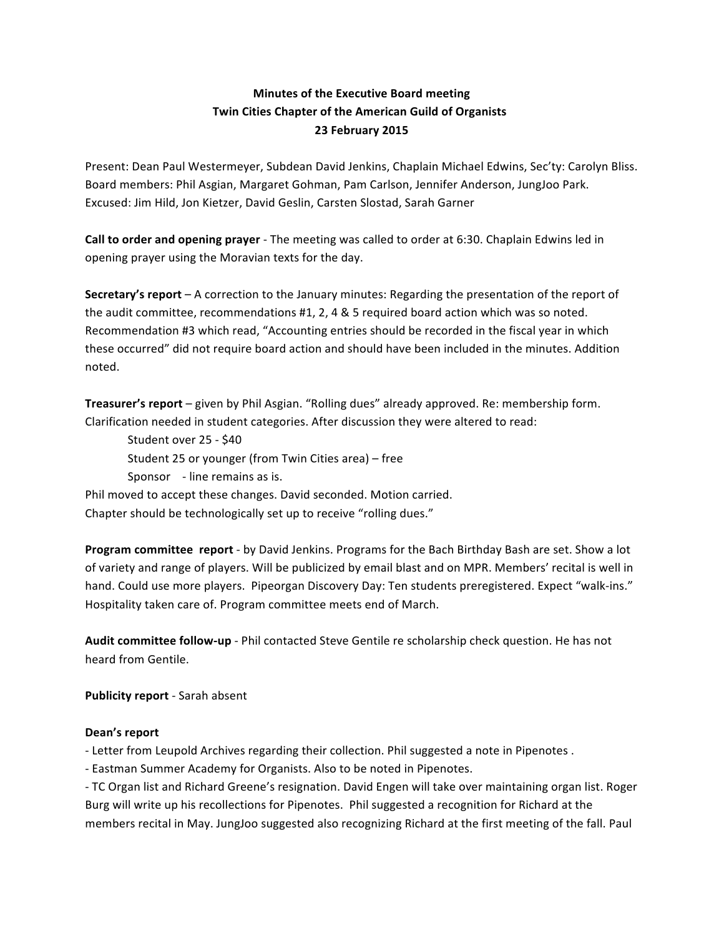## **Minutes of the Executive Board meeting Twin Cities Chapter of the American Guild of Organists 23 February 2015**

Present: Dean Paul Westermeyer, Subdean David Jenkins, Chaplain Michael Edwins, Sec'ty: Carolyn Bliss. Board members: Phil Asgian, Margaret Gohman, Pam Carlson, Jennifer Anderson, JungJoo Park. Excused: Jim Hild, Jon Kietzer, David Geslin, Carsten Slostad, Sarah Garner

**Call to order and opening prayer** - The meeting was called to order at 6:30. Chaplain Edwins led in opening prayer using the Moravian texts for the day.

**Secretary's report** – A correction to the January minutes: Regarding the presentation of the report of the audit committee, recommendations #1, 2, 4 & 5 required board action which was so noted. Recommendation #3 which read, "Accounting entries should be recorded in the fiscal year in which these occurred" did not require board action and should have been included in the minutes. Addition noted.

**Treasurer's report** – given by Phil Asgian. "Rolling dues" already approved. Re: membership form. Clarification needed in student categories. After discussion they were altered to read:

Student over 25 - \$40 Student 25 or younger (from Twin Cities area) – free Sponsor - line remains as is.

Phil moved to accept these changes. David seconded. Motion carried. Chapter should be technologically set up to receive "rolling dues."

**Program committee report** - by David Jenkins. Programs for the Bach Birthday Bash are set. Show a lot of variety and range of players. Will be publicized by email blast and on MPR. Members' recital is well in hand. Could use more players. Pipeorgan Discovery Day: Ten students preregistered. Expect "walk-ins." Hospitality taken care of. Program committee meets end of March.

**Audit committee follow-up** - Phil contacted Steve Gentile re scholarship check question. He has not heard from Gentile.

**Publicity report** - Sarah absent

## Dean's report

- Letter from Leupold Archives regarding their collection. Phil suggested a note in Pipenotes .

- Eastman Summer Academy for Organists. Also to be noted in Pipenotes.

- TC Organ list and Richard Greene's resignation. David Engen will take over maintaining organ list. Roger Burg will write up his recollections for Pipenotes. Phil suggested a recognition for Richard at the members recital in May. JungJoo suggested also recognizing Richard at the first meeting of the fall. Paul